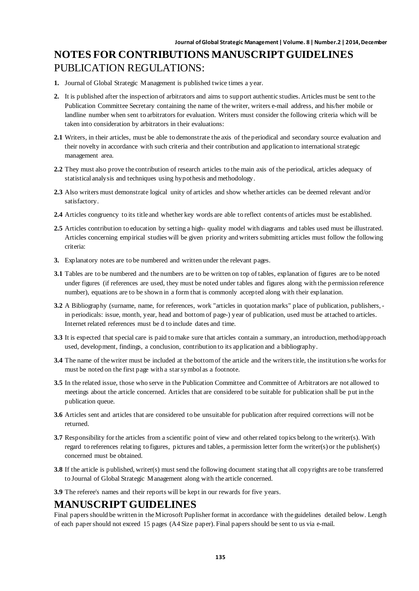# **NOTES FOR CONTRIBUTIONS MANUSCRIPT GUIDELINES** PUBLICATION REGULATIONS:

- **1.** Journal of Global Strategic Management is published twice times a year.
- **2.** It is published after the inspection of arbitrators and aims to support authentic studies. Articles must be sent to the Publication Committee Secretary containing the name of the writer, writers e-mail address, and his/her mobile or landline number when sent to arbitrators for evaluation. Writers must consider the following criteria which will be taken into consideration by arbitrators in their evaluations:
- **2.1** Writers, in their articles, must be able to demonstrate the axis of the periodical and secondary source evaluation and their novelty in accordance with such criteria and their contribution and application to international strategic management area.
- **2.2** They must also prove the contribution of research articles to the main axis of the periodical, articles adequacy of statistical analysis and techniques using hypothesis and methodology.
- **2.3** Also writers must demonstrate logical unity of articles and show whether articles can be deemed relevant and/or satisfactory.
- **2.4** Articles congruency to its title and whether key words are able to reflect contents of articles must be established.
- **2.5** Articles contribution to education by setting a high- quality model with diagrams and tables used must be illustrated. Articles concerning empirical studies will be given priority and writers submitting articles must follow the following criteria:
- **3.** Explanatory notes are to be numbered and written under the relevant pages.
- **3.1** Tables are to be numbered and the numbers are to be written on top of tables, explanation of figures are to be noted under figures (if references are used, they must be noted under tables and figures along with the permission reference number), equations are to be shown in a form that is commonly accepted along with their explanation.
- **3.2** A Bibliography (surname, name, for references, work "articles in quotation marks" place of publication, publishers, in periodicals: issue, month, year, head and bottom of page-) year of publication, used must be attached to articles. Internet related references must be d to include dates and time.
- **3.3** It is expected that special care is paid to make sure that articles contain a summary, an introduction, method/approach used, development, findings, a conclusion, contribution to its application and a bibliography.
- **3.4** The name of the writer must be included at the bottom of the article and the writers title, the institution s/he works for must be noted on the first page with a star symbol as a footnote.
- **3.5** In the related issue, those who serve in the Publication Committee and Committee of Arbitrators are not allowed to meetings about the article concerned. Articles that are considered to be suitable for publication shall be put in the publication queue.
- **3.6** Articles sent and articles that are considered to be unsuitable for publication after required corrections will not be returned.
- **3.7** Responsibility for the articles from a scientific point of view and other related topics belong to the writer(s). With regard to references relating to figures, pictures and tables, a permission letter form the writer(s) or the publisher(s) concerned must be obtained.
- **3.8** If the article is published, writer(s) must send the following document stating that all copyrights are to be transferred to Journal of Global Strategic Management along with the article concerned.
- **3.9** The referee's names and their reports will be kept in our rewards for five years.

#### **MANUSCRIPT GUIDELINES**

Final papers should be written in the Microsoft Puplisher format in accordance with the guidelines detailed below. Length of each paper should not exceed 15 pages (A4 Size paper). Final papers should be sent to us via e-mail.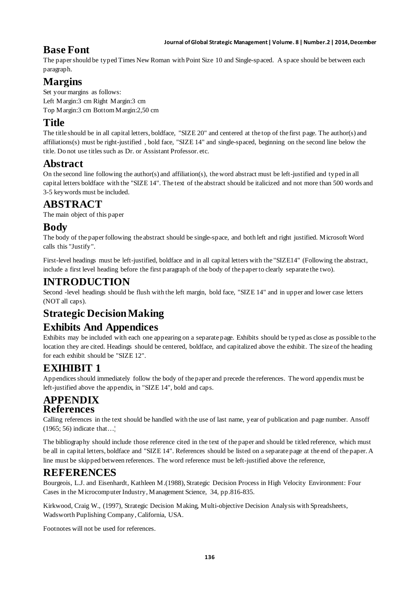#### **Journal of Global Strategic Management | Volume. 8 | Number.2 | 2014, December**

## **Base Font**

The paper should be typed Times New Roman with Point Size 10 and Single-spaced. A space should be between each paragraph.

# **Margins**

Set your margins as follows: Left Margin:3 cm Right Margin:3 cm Top Margin:3 cm Bottom Margin:2,50 cm

## **Title**

The title should be in all capital letters, boldface, "SIZE 20" and centered at the top of the first page. The author(s) and affiliations(s) must be right-justified , bold face, "SIZE 14" and single-spaced, beginning on the second line below the title. Do not use titles such as Dr. or Assistant Professor. etc.

## **Abstract**

On the second line following the author(s) and affiliation(s), the word abstract must be left-justified and typed in all capital letters boldface with the "SIZE 14". The text of the abstract should be italicized and not more than 500 words and 3-5 keywords must be included.

## **ABSTRACT**

The main object of this paper

## **Body**

The body of the paper following the abstract should be single-space, and both left and right justified. Microsoft Word calls this "Justify".

First-level headings must be left-justified, boldface and in all capital letters with the "SIZE14" (Following the abstract, include a first level heading before the first paragraph of the body of the paper to clearly separate the two).

#### **INTRODUCTION**

Second -level headings should be flush with the left margin, bold face, "SIZE 14" and in upper and lower case letters (NOT all caps).

## **Strategic Decision Making**

## **Exhibits And Appendices**

Exhibits may be included with each one appearing on a separate page. Exhibits should be typed as close as possible to the location they are cited. Headings should be centered, boldface, and capitalized above the exhibit. The size of the heading for each exhibit should be "SIZE 12".

## **EXIHIBIT 1**

Appendices should immediately follow the body of the paper and precede the references. The word appendix must be left-justified above the appendix, in "SIZE 14", bold and caps.

#### **APPENDIX References**

Calling references in the text should be handled with the use of last name, year of publication and page number. Ansoff (1965; 56) indicate that…¦

The bibliography should include those reference cited in the text of the paper and should be titled reference, which must be all in capital letters, boldface and "SIZE 14". References should be listed on a separate page at the end of the paper. A line must be skipped between references. The word reference must be left-justified above the reference,

## **REFERENCES**

Bourgeois, L.J. and Eisenhardt, Kathleen M.(1988), Strategic Decision Process in High Velocity Environment: Four Cases in the Microcomputer Industry, Management Science, 34, pp.816-835.

Kirkwood, Craig W., (1997), Strategic Decision Making, Multi-objective Decision Analysis with Spreadsheets, Wadsworth Puplishing Company, California, USA.

Footnotes will not be used for references.